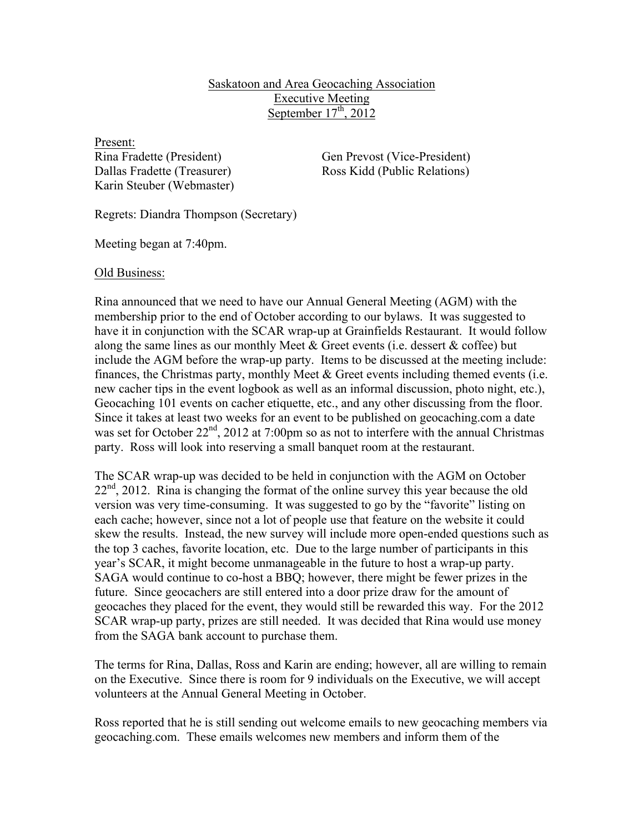## Saskatoon and Area Geocaching Association Executive Meeting September  $17<sup>th</sup>$ , 2012

Present: Karin Steuber (Webmaster)

Rina Fradette (President) Gen Prevost (Vice-President) Dallas Fradette (Treasurer) Ross Kidd (Public Relations)

Regrets: Diandra Thompson (Secretary)

Meeting began at 7:40pm.

Old Business:

Rina announced that we need to have our Annual General Meeting (AGM) with the membership prior to the end of October according to our bylaws. It was suggested to have it in conjunction with the SCAR wrap-up at Grainfields Restaurant. It would follow along the same lines as our monthly Meet  $\&$  Greet events (i.e. dessert  $\&$  coffee) but include the AGM before the wrap-up party. Items to be discussed at the meeting include: finances, the Christmas party, monthly Meet  $\&$  Greet events including themed events (i.e. new cacher tips in the event logbook as well as an informal discussion, photo night, etc.), Geocaching 101 events on cacher etiquette, etc., and any other discussing from the floor. Since it takes at least two weeks for an event to be published on geocaching.com a date was set for October 22<sup>nd</sup>, 2012 at 7:00pm so as not to interfere with the annual Christmas party. Ross will look into reserving a small banquet room at the restaurant.

The SCAR wrap-up was decided to be held in conjunction with the AGM on October  $22<sup>nd</sup>$ , 2012. Rina is changing the format of the online survey this year because the old version was very time-consuming. It was suggested to go by the "favorite" listing on each cache; however, since not a lot of people use that feature on the website it could skew the results. Instead, the new survey will include more open-ended questions such as the top 3 caches, favorite location, etc. Due to the large number of participants in this year's SCAR, it might become unmanageable in the future to host a wrap-up party. SAGA would continue to co-host a BBQ; however, there might be fewer prizes in the future. Since geocachers are still entered into a door prize draw for the amount of geocaches they placed for the event, they would still be rewarded this way. For the 2012 SCAR wrap-up party, prizes are still needed. It was decided that Rina would use money from the SAGA bank account to purchase them.

The terms for Rina, Dallas, Ross and Karin are ending; however, all are willing to remain on the Executive. Since there is room for 9 individuals on the Executive, we will accept volunteers at the Annual General Meeting in October.

Ross reported that he is still sending out welcome emails to new geocaching members via geocaching.com. These emails welcomes new members and inform them of the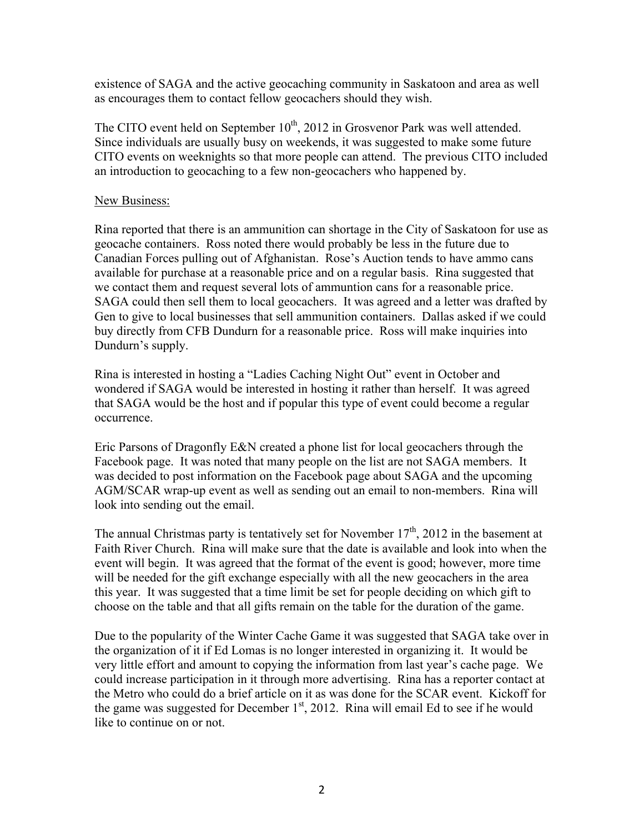existence of SAGA and the active geocaching community in Saskatoon and area as well as encourages them to contact fellow geocachers should they wish.

The CITO event held on September  $10^{th}$ , 2012 in Grosvenor Park was well attended. Since individuals are usually busy on weekends, it was suggested to make some future CITO events on weeknights so that more people can attend. The previous CITO included an introduction to geocaching to a few non-geocachers who happened by.

## New Business:

Rina reported that there is an ammunition can shortage in the City of Saskatoon for use as geocache containers. Ross noted there would probably be less in the future due to Canadian Forces pulling out of Afghanistan. Rose's Auction tends to have ammo cans available for purchase at a reasonable price and on a regular basis. Rina suggested that we contact them and request several lots of ammuntion cans for a reasonable price. SAGA could then sell them to local geocachers. It was agreed and a letter was drafted by Gen to give to local businesses that sell ammunition containers. Dallas asked if we could buy directly from CFB Dundurn for a reasonable price. Ross will make inquiries into Dundurn's supply.

Rina is interested in hosting a "Ladies Caching Night Out" event in October and wondered if SAGA would be interested in hosting it rather than herself. It was agreed that SAGA would be the host and if popular this type of event could become a regular occurrence.

Eric Parsons of Dragonfly E&N created a phone list for local geocachers through the Facebook page. It was noted that many people on the list are not SAGA members. It was decided to post information on the Facebook page about SAGA and the upcoming AGM/SCAR wrap-up event as well as sending out an email to non-members. Rina will look into sending out the email.

The annual Christmas party is tentatively set for November  $17<sup>th</sup>$ , 2012 in the basement at Faith River Church. Rina will make sure that the date is available and look into when the event will begin. It was agreed that the format of the event is good; however, more time will be needed for the gift exchange especially with all the new geocachers in the area this year. It was suggested that a time limit be set for people deciding on which gift to choose on the table and that all gifts remain on the table for the duration of the game.

Due to the popularity of the Winter Cache Game it was suggested that SAGA take over in the organization of it if Ed Lomas is no longer interested in organizing it. It would be very little effort and amount to copying the information from last year's cache page. We could increase participation in it through more advertising. Rina has a reporter contact at the Metro who could do a brief article on it as was done for the SCAR event. Kickoff for the game was suggested for December  $1<sup>st</sup>$ , 2012. Rina will email Ed to see if he would like to continue on or not.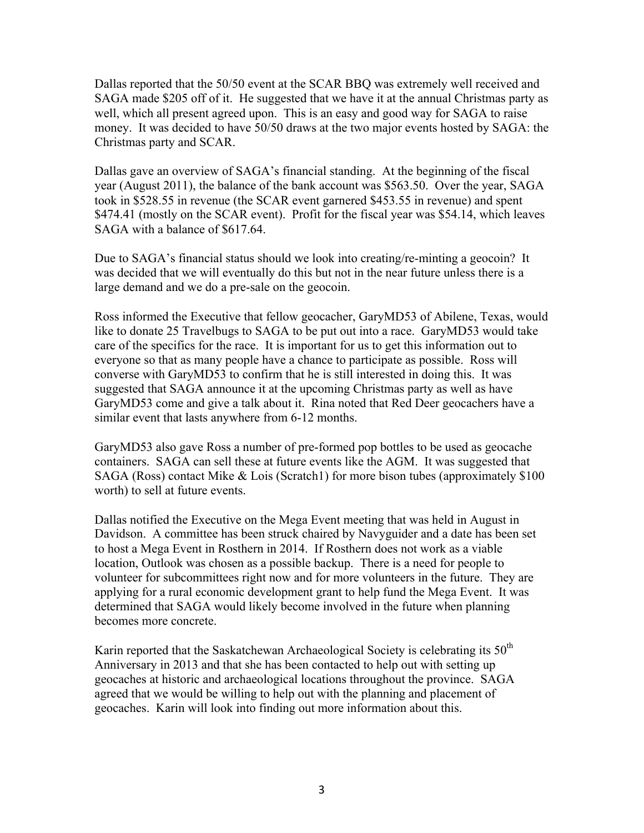Dallas reported that the 50/50 event at the SCAR BBQ was extremely well received and SAGA made \$205 off of it. He suggested that we have it at the annual Christmas party as well, which all present agreed upon. This is an easy and good way for SAGA to raise money. It was decided to have 50/50 draws at the two major events hosted by SAGA: the Christmas party and SCAR.

Dallas gave an overview of SAGA's financial standing. At the beginning of the fiscal year (August 2011), the balance of the bank account was \$563.50. Over the year, SAGA took in \$528.55 in revenue (the SCAR event garnered \$453.55 in revenue) and spent \$474.41 (mostly on the SCAR event). Profit for the fiscal year was \$54.14, which leaves SAGA with a balance of \$617.64.

Due to SAGA's financial status should we look into creating/re-minting a geocoin? It was decided that we will eventually do this but not in the near future unless there is a large demand and we do a pre-sale on the geocoin.

Ross informed the Executive that fellow geocacher, GaryMD53 of Abilene, Texas, would like to donate 25 Travelbugs to SAGA to be put out into a race. GaryMD53 would take care of the specifics for the race. It is important for us to get this information out to everyone so that as many people have a chance to participate as possible. Ross will converse with GaryMD53 to confirm that he is still interested in doing this. It was suggested that SAGA announce it at the upcoming Christmas party as well as have GaryMD53 come and give a talk about it. Rina noted that Red Deer geocachers have a similar event that lasts anywhere from 6-12 months.

GaryMD53 also gave Ross a number of pre-formed pop bottles to be used as geocache containers. SAGA can sell these at future events like the AGM. It was suggested that SAGA (Ross) contact Mike & Lois (Scratch1) for more bison tubes (approximately \$100 worth) to sell at future events.

Dallas notified the Executive on the Mega Event meeting that was held in August in Davidson. A committee has been struck chaired by Navyguider and a date has been set to host a Mega Event in Rosthern in 2014. If Rosthern does not work as a viable location, Outlook was chosen as a possible backup. There is a need for people to volunteer for subcommittees right now and for more volunteers in the future. They are applying for a rural economic development grant to help fund the Mega Event. It was determined that SAGA would likely become involved in the future when planning becomes more concrete.

Karin reported that the Saskatchewan Archaeological Society is celebrating its  $50<sup>th</sup>$ Anniversary in 2013 and that she has been contacted to help out with setting up geocaches at historic and archaeological locations throughout the province. SAGA agreed that we would be willing to help out with the planning and placement of geocaches. Karin will look into finding out more information about this.